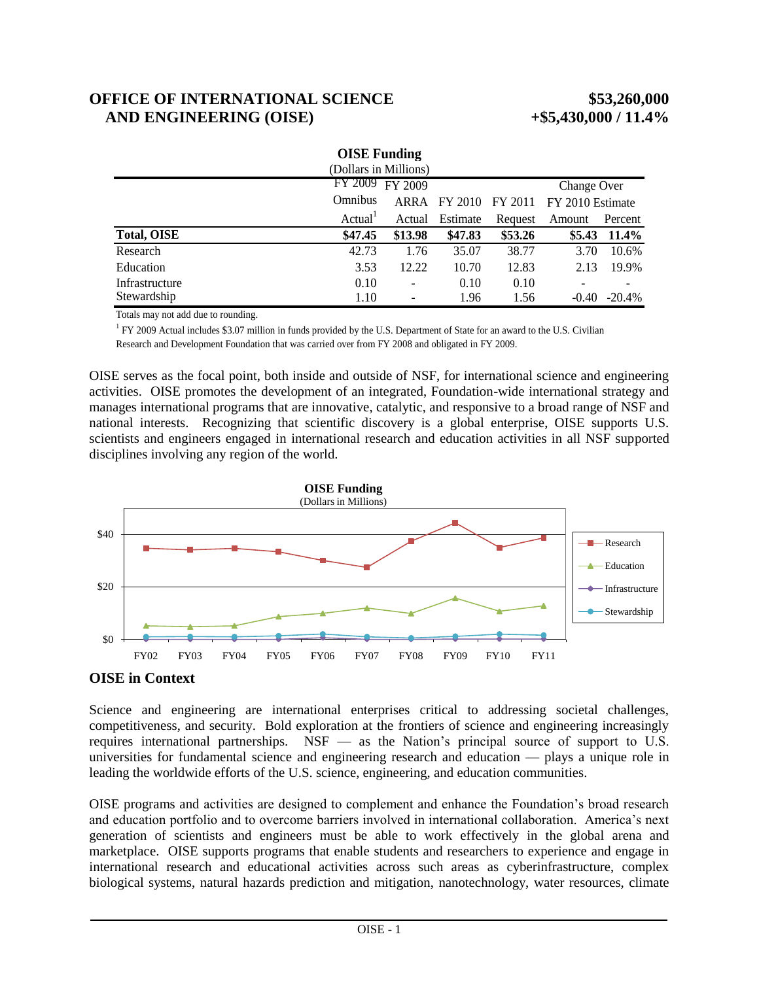# **OFFICE OF INTERNATIONAL SCIENCE \$53,260,000 AND ENGINEERING (OISE) +\$5,430,000 / 11.4%**

| <b>OISE</b> Funding   |                     |                          |          |         |                  |           |
|-----------------------|---------------------|--------------------------|----------|---------|------------------|-----------|
| (Dollars in Millions) |                     |                          |          |         |                  |           |
|                       |                     | FY 2009 FY 2009          |          |         | Change Over      |           |
|                       | <b>Omnibus</b>      | ARRA                     | FY 2010  | FY 2011 | FY 2010 Estimate |           |
|                       | Actual <sup>1</sup> | Actual                   | Estimate | Request | Amount           | Percent   |
| <b>Total, OISE</b>    | \$47.45             | \$13.98                  | \$47.83  | \$53.26 | \$5.43           | $11.4\%$  |
| Research              | 42.73               | 1.76                     | 35.07    | 38.77   | 3.70             | 10.6%     |
| Education             | 3.53                | 12.22                    | 10.70    | 12.83   | 2.13             | 19.9%     |
| Infrastructure        | 0.10                | $\overline{\phantom{a}}$ | 0.10     | 0.10    |                  |           |
| Stewardship           | 1.10                | -                        | 1.96     | 1.56    | $-0.40$          | $-20.4\%$ |

Totals may not add due to rounding.

<sup>1</sup> FY 2009 Actual includes \$3.07 million in funds provided by the U.S. Department of State for an award to the U.S. Civilian Research and Development Foundation that was carried over from FY 2008 and obligated in FY 2009.

OISE serves as the focal point, both inside and outside of NSF, for international science and engineering activities. OISE promotes the development of an integrated, Foundation-wide international strategy and manages international programs that are innovative, catalytic, and responsive to a broad range of NSF and national interests. Recognizing that scientific discovery is a global enterprise, OISE supports U.S. scientists and engineers engaged in international research and education activities in all NSF supported disciplines involving any region of the world.



### **OISE in Context**

Science and engineering are international enterprises critical to addressing societal challenges, competitiveness, and security. Bold exploration at the frontiers of science and engineering increasingly requires international partnerships. NSF — as the Nation's principal source of support to U.S. universities for fundamental science and engineering research and education — plays a unique role in leading the worldwide efforts of the U.S. science, engineering, and education communities.

OISE programs and activities are designed to complement and enhance the Foundation's broad research and education portfolio and to overcome barriers involved in international collaboration. America's next generation of scientists and engineers must be able to work effectively in the global arena and marketplace. OISE supports programs that enable students and researchers to experience and engage in international research and educational activities across such areas as cyberinfrastructure, complex biological systems, natural hazards prediction and mitigation, nanotechnology, water resources, climate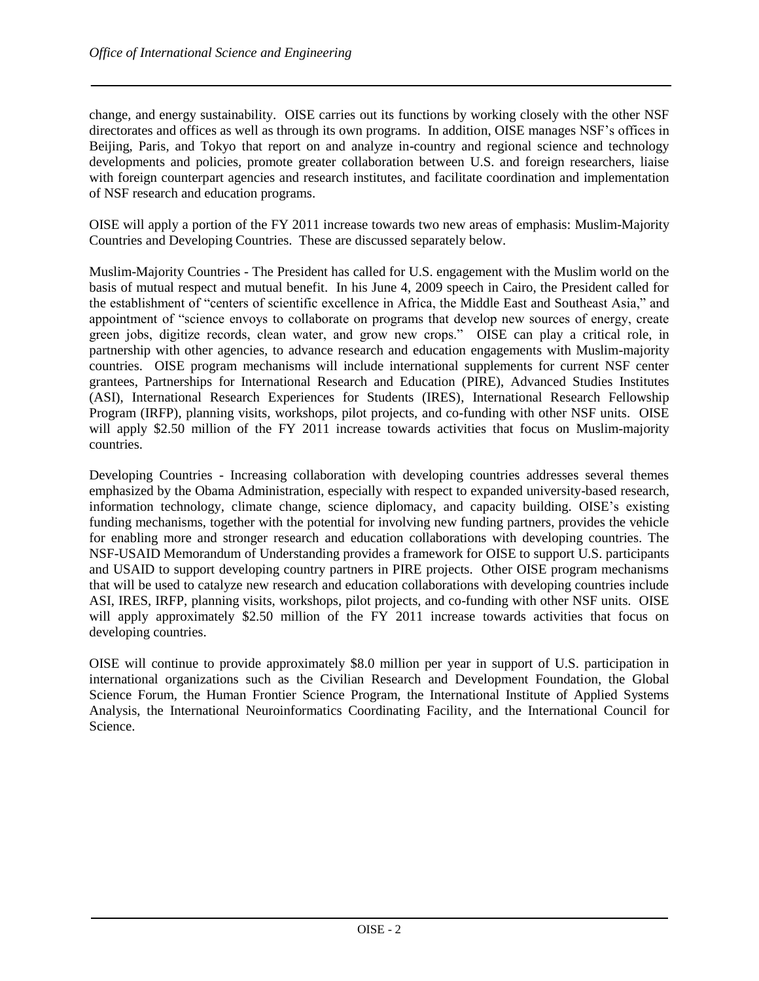change, and energy sustainability. OISE carries out its functions by working closely with the other NSF directorates and offices as well as through its own programs. In addition, OISE manages NSF's offices in Beijing, Paris, and Tokyo that report on and analyze in-country and regional science and technology developments and policies, promote greater collaboration between U.S. and foreign researchers, liaise with foreign counterpart agencies and research institutes, and facilitate coordination and implementation of NSF research and education programs.

OISE will apply a portion of the FY 2011 increase towards two new areas of emphasis: Muslim-Majority Countries and Developing Countries. These are discussed separately below.

Muslim-Majority Countries - The President has called for U.S. engagement with the Muslim world on the basis of mutual respect and mutual benefit. In his June 4, 2009 speech in Cairo, the President called for the establishment of "centers of scientific excellence in Africa, the Middle East and Southeast Asia," and appointment of "science envoys to collaborate on programs that develop new sources of energy, create green jobs, digitize records, clean water, and grow new crops." OISE can play a critical role, in partnership with other agencies, to advance research and education engagements with Muslim-majority countries. OISE program mechanisms will include international supplements for current NSF center grantees, Partnerships for International Research and Education (PIRE), Advanced Studies Institutes (ASI), International Research Experiences for Students (IRES), International Research Fellowship Program (IRFP), planning visits, workshops, pilot projects, and co-funding with other NSF units. OISE will apply \$2.50 million of the FY 2011 increase towards activities that focus on Muslim-majority countries.

Developing Countries - Increasing collaboration with developing countries addresses several themes emphasized by the Obama Administration, especially with respect to expanded university-based research, information technology, climate change, science diplomacy, and capacity building. OISE's existing funding mechanisms, together with the potential for involving new funding partners, provides the vehicle for enabling more and stronger research and education collaborations with developing countries. The NSF-USAID Memorandum of Understanding provides a framework for OISE to support U.S. participants and USAID to support developing country partners in PIRE projects. Other OISE program mechanisms that will be used to catalyze new research and education collaborations with developing countries include ASI, IRES, IRFP, planning visits, workshops, pilot projects, and co-funding with other NSF units. OISE will apply approximately \$2.50 million of the FY 2011 increase towards activities that focus on developing countries.

OISE will continue to provide approximately \$8.0 million per year in support of U.S. participation in international organizations such as the Civilian Research and Development Foundation, the Global Science Forum, the Human Frontier Science Program, the International Institute of Applied Systems Analysis, the International Neuroinformatics Coordinating Facility, and the International Council for Science.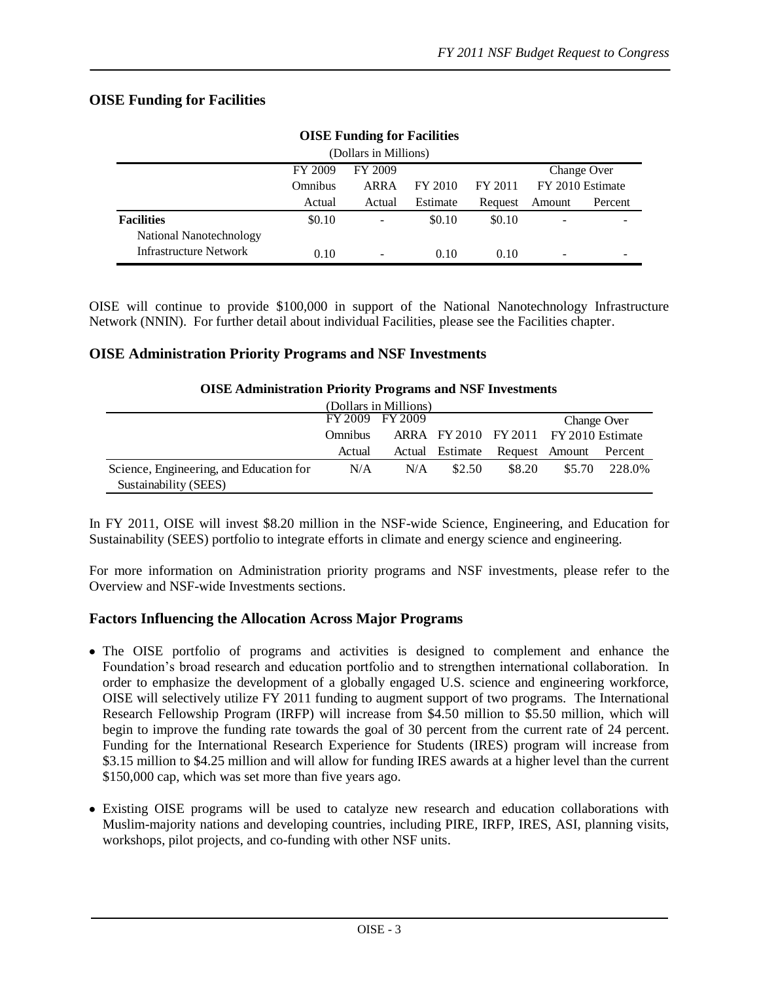## **OISE Funding for Facilities**

| OIDE FURNING TOI FAUNTES |                |                          |          |             |        |                  |  |
|--------------------------|----------------|--------------------------|----------|-------------|--------|------------------|--|
| (Dollars in Millions)    |                |                          |          |             |        |                  |  |
|                          | FY 2009        | FY 2009                  |          | Change Over |        |                  |  |
|                          | <b>Omnibus</b> | ARRA                     | FY 2010  | FY 2011     |        | FY 2010 Estimate |  |
|                          | Actual         | Actual                   | Estimate | Request     | Amount | Percent          |  |
| <b>Facilities</b>        | \$0.10         | $\overline{\phantom{a}}$ | \$0.10   | \$0.10      |        |                  |  |
| National Nanotechnology  |                |                          |          |             |        |                  |  |
| Infrastructure Network   | 0.10           | -                        | 0.10     | 0.10        |        |                  |  |

### **OISE Funding for Facilities**

OISE will continue to provide \$100,000 in support of the National Nanotechnology Infrastructure Network (NNIN). For further detail about individual Facilities, please see the Facilities chapter.

#### **OISE Administration Priority Programs and NSF Investments**

| (Dollars in Millions)                   |                                                         |     |        |                                |        |         |
|-----------------------------------------|---------------------------------------------------------|-----|--------|--------------------------------|--------|---------|
|                                         | FY 2009 FY 2009                                         |     |        | Change Over                    |        |         |
|                                         | ARRA FY 2010 FY 2011 FY 2010 Estimate<br><b>Omnibus</b> |     |        |                                |        |         |
|                                         | Actual                                                  |     |        | Actual Estimate Request Amount |        | Percent |
| Science, Engineering, and Education for | N/A                                                     | N/A | \$2.50 | \$8.20                         | \$5.70 | 228.0%  |
| Sustainability (SEES)                   |                                                         |     |        |                                |        |         |

#### **OISE Administration Priority Programs and NSF Investments**

In FY 2011, OISE will invest \$8.20 million in the NSF-wide Science, Engineering, and Education for Sustainability (SEES) portfolio to integrate efforts in climate and energy science and engineering.

For more information on Administration priority programs and NSF investments, please refer to the Overview and NSF-wide Investments sections.

#### **Factors Influencing the Allocation Across Major Programs**

- The OISE portfolio of programs and activities is designed to complement and enhance the Foundation's broad research and education portfolio and to strengthen international collaboration. In order to emphasize the development of a globally engaged U.S. science and engineering workforce, OISE will selectively utilize FY 2011 funding to augment support of two programs. The International Research Fellowship Program (IRFP) will increase from \$4.50 million to \$5.50 million, which will begin to improve the funding rate towards the goal of 30 percent from the current rate of 24 percent. Funding for the International Research Experience for Students (IRES) program will increase from \$3.15 million to \$4.25 million and will allow for funding IRES awards at a higher level than the current \$150,000 cap, which was set more than five years ago.
- Existing OISE programs will be used to catalyze new research and education collaborations with Muslim-majority nations and developing countries, including PIRE, IRFP, IRES, ASI, planning visits, workshops, pilot projects, and co-funding with other NSF units.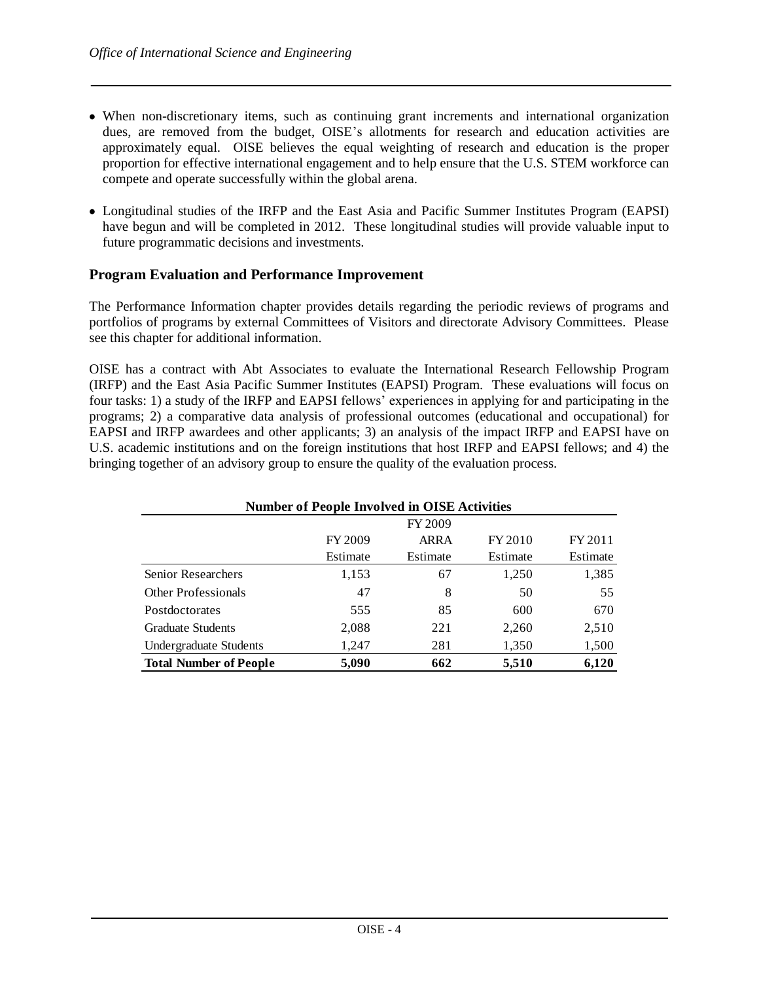- When non-discretionary items, such as continuing grant increments and international organization dues, are removed from the budget, OISE's allotments for research and education activities are approximately equal. OISE believes the equal weighting of research and education is the proper proportion for effective international engagement and to help ensure that the U.S. STEM workforce can compete and operate successfully within the global arena.
- Longitudinal studies of the IRFP and the East Asia and Pacific Summer Institutes Program (EAPSI) have begun and will be completed in 2012. These longitudinal studies will provide valuable input to future programmatic decisions and investments.

#### **Program Evaluation and Performance Improvement**

The Performance Information chapter provides details regarding the periodic reviews of programs and portfolios of programs by external Committees of Visitors and directorate Advisory Committees. Please see this chapter for additional information.

OISE has a contract with Abt Associates to evaluate the International Research Fellowship Program (IRFP) and the East Asia Pacific Summer Institutes (EAPSI) Program. These evaluations will focus on four tasks: 1) a study of the IRFP and EAPSI fellows' experiences in applying for and participating in the programs; 2) a comparative data analysis of professional outcomes (educational and occupational) for EAPSI and IRFP awardees and other applicants; 3) an analysis of the impact IRFP and EAPSI have on U.S. academic institutions and on the foreign institutions that host IRFP and EAPSI fellows; and 4) the bringing together of an advisory group to ensure the quality of the evaluation process.

| <b>Number of People Involved in OISE Activities</b> |          |          |          |          |  |  |
|-----------------------------------------------------|----------|----------|----------|----------|--|--|
|                                                     |          | FY 2009  |          |          |  |  |
|                                                     | FY 2009  | ARRA     | FY 2010  | FY 2011  |  |  |
|                                                     | Estimate | Estimate | Estimate | Estimate |  |  |
| <b>Senior Researchers</b>                           | 1,153    | 67       | 1,250    | 1,385    |  |  |
| <b>Other Professionals</b>                          | 47       | 8        | 50       | 55       |  |  |
| Postdoctorates                                      | 555      | 85       | 600      | 670      |  |  |
| <b>Graduate Students</b>                            | 2,088    | 221      | 2,260    | 2,510    |  |  |
| Undergraduate Students                              | 1,247    | 281      | 1,350    | 1,500    |  |  |
| <b>Total Number of People</b>                       | 5,090    | 662      | 5,510    | 6,120    |  |  |